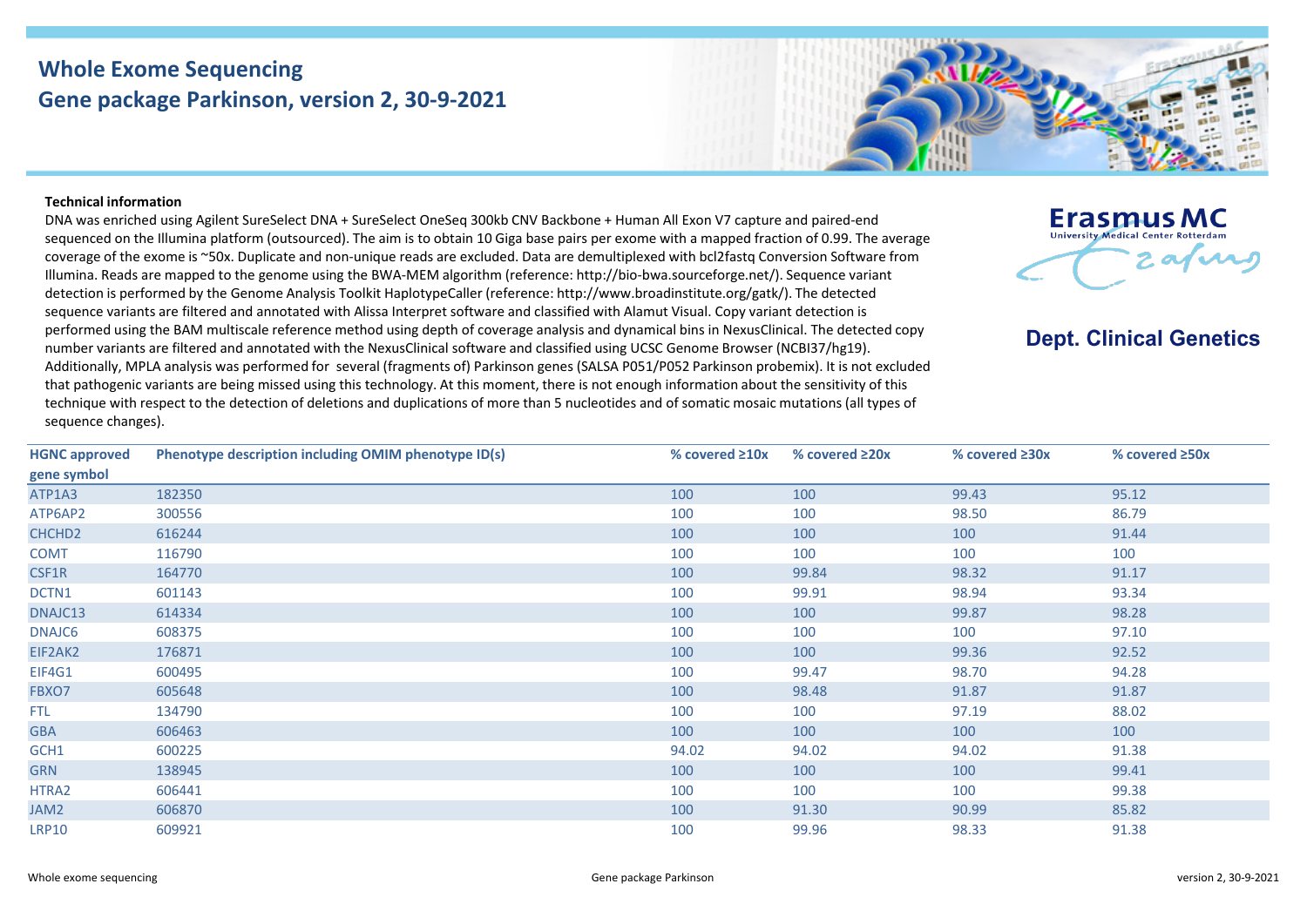## **Whole Exome Sequencing Gene package Parkinson, version 2, 30-9-2021**



## **Technical information**

DNA was enriched using Agilent SureSelect DNA + SureSelect OneSeq 300kb CNV Backbone + Human All Exon V7 capture and paired-end sequenced on the Illumina platform (outsourced). The aim is to obtain 10 Giga base pairs per exome with a mapped fraction of 0.99. The average coverage of the exome is ~50x. Duplicate and non-unique reads are excluded. Data are demultiplexed with bcl2fastq Conversion Software from Illumina. Reads are mapped to the genome using the BWA-MEM algorithm (reference: http://bio-bwa.sourceforge.net/). Sequence variant detection is performed by the Genome Analysis Toolkit HaplotypeCaller (reference: http://www.broadinstitute.org/gatk/). The detected sequence variants are filtered and annotated with Alissa Interpret software and classified with Alamut Visual. Copy variant detection is performed using the BAM multiscale reference method using depth of coverage analysis and dynamical bins in NexusClinical. The detected copy number variants are filtered and annotated with the NexusClinical software and classified using UCSC Genome Browser (NCBI37/hg19). Additionally, MPLA analysis was performed for several (fragments of) Parkinson genes (SALSA P051/P052 Parkinson probemix). It is not excluded that pathogenic variants are being missed using this technology. At this moment, there is not enough information about the sensitivity of this technique with respect to the detection of deletions and duplications of more than 5 nucleotides and of somatic mosaic mutations (all types of sequence changes).



## **Dept. Clinical Genetics**

| <b>HGNC approved</b> | Phenotype description including OMIM phenotype ID(s) | % covered $\geq 10x$ | % covered $\geq 20x$ | % covered ≥30x | % covered $\geq$ 50x |
|----------------------|------------------------------------------------------|----------------------|----------------------|----------------|----------------------|
| gene symbol          |                                                      |                      |                      |                |                      |
| ATP1A3               | 182350                                               | 100                  | 100                  | 99.43          | 95.12                |
| ATP6AP2              | 300556                                               | 100                  | 100                  | 98.50          | 86.79                |
| CHCHD <sub>2</sub>   | 616244                                               | 100                  | 100                  | 100            | 91.44                |
| <b>COMT</b>          | 116790                                               | 100                  | 100                  | 100            | 100                  |
| CSF1R                | 164770                                               | 100                  | 99.84                | 98.32          | 91.17                |
| DCTN1                | 601143                                               | 100                  | 99.91                | 98.94          | 93.34                |
| DNAJC13              | 614334                                               | 100                  | 100                  | 99.87          | 98.28                |
| DNAJC6               | 608375                                               | 100                  | 100                  | 100            | 97.10                |
| EIF2AK2              | 176871                                               | 100                  | 100                  | 99.36          | 92.52                |
| EIF4G1               | 600495                                               | 100                  | 99.47                | 98.70          | 94.28                |
| FBXO7                | 605648                                               | 100                  | 98.48                | 91.87          | 91.87                |
| <b>FTL</b>           | 134790                                               | 100                  | 100                  | 97.19          | 88.02                |
| <b>GBA</b>           | 606463                                               | 100                  | 100                  | 100            | 100                  |
| GCH1                 | 600225                                               | 94.02                | 94.02                | 94.02          | 91.38                |
| <b>GRN</b>           | 138945                                               | 100                  | 100                  | 100            | 99.41                |
| HTRA2                | 606441                                               | 100                  | 100                  | 100            | 99.38                |
| JAM2                 | 606870                                               | 100                  | 91.30                | 90.99          | 85.82                |
| <b>LRP10</b>         | 609921                                               | 100                  | 99.96                | 98.33          | 91.38                |